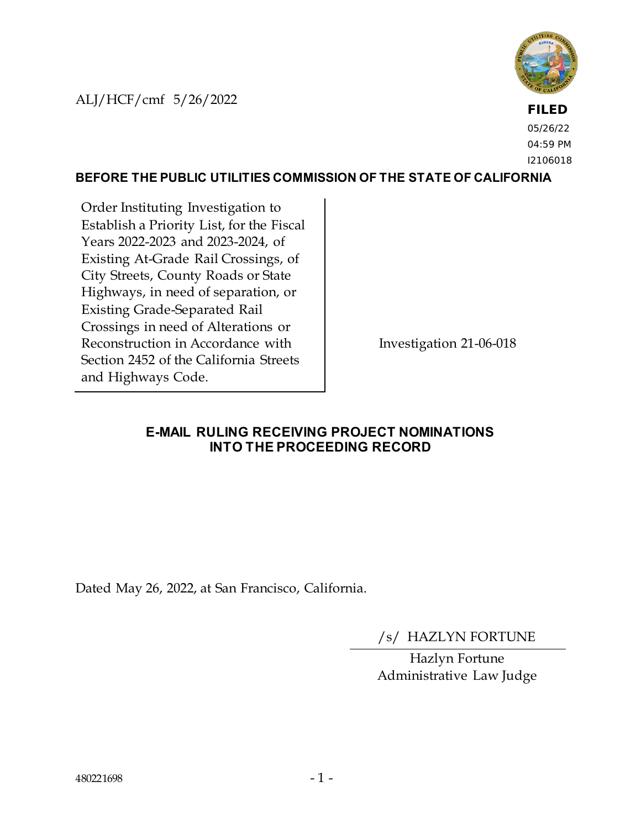ALJ/HCF/cmf 5/26/2022



**FILED** 05/26/22 04:59 PM I2106018

#### **BEFORE THE PUBLIC UTILITIES COMMISSION OF THE STATE OF CALIFORNIA**

Order Instituting Investigation to Establish a Priority List, for the Fiscal Years 2022-2023 and 2023-2024, of Existing At-Grade Rail Crossings, of City Streets, County Roads or State Highways, in need of separation, or Existing Grade-Separated Rail Crossings in need of Alterations or Reconstruction in Accordance with Section 2452 of the California Streets and Highways Code.

Investigation 21-06-018

#### **E-MAIL RULING RECEIVING PROJECT NOMINATIONS INTO THE PROCEEDING RECORD**

Dated May 26, 2022, at San Francisco, California.

/s/ HAZLYN FORTUNE

Hazlyn Fortune Administrative Law Judge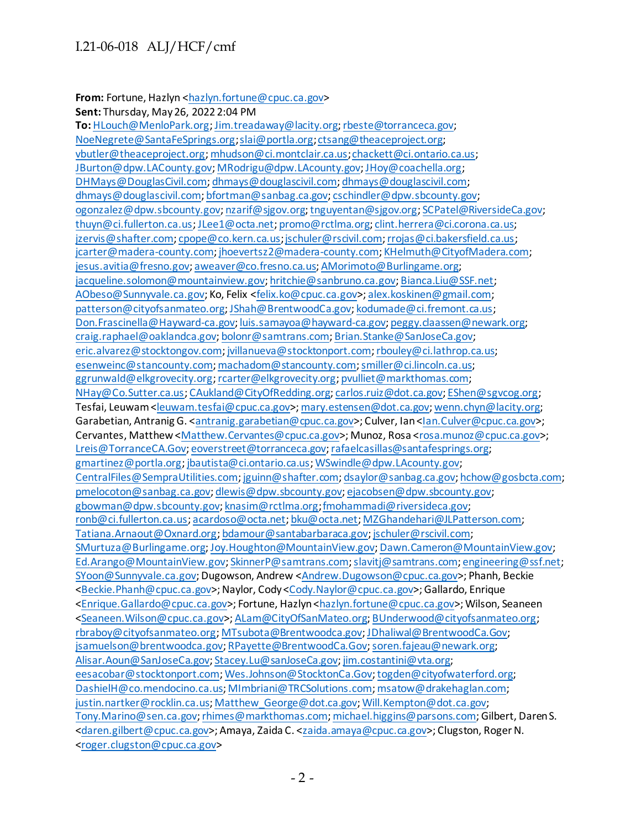#### From: Fortune, Hazlyn [<hazlyn.fortune@cpuc.ca.gov](mailto:hazlyn.fortune@cpuc.ca.gov)>

**Sent:** Thursday, May 26, 2022 2:04 PM

**To:** [HLouch@MenloPark.org](mailto:HLouch@MenloPark.org)[; Jim.treadaway@lacity.org](mailto:Jim.treadaway@lacity.org)[; rbeste@torranceca.gov](mailto:rbeste@torranceca.gov); [NoeNegrete@SantaFeSprings.org](mailto:NoeNegrete@SantaFeSprings.org)[; slai@portla.org](mailto:slai@portla.org)[; ctsang@theaceproject.org;](mailto:ctsang@theaceproject.org) [vbutler@theaceproject.org](mailto:vbutler@theaceproject.org)[; mhudson@ci.montclair.ca.us](mailto:mhudson@ci.montclair.ca.us)[; chackett@ci.ontario.ca.us](mailto:chackett@ci.ontario.ca.us); [JBurton@dpw.LACounty.gov](mailto:JBurton@dpw.LACounty.gov)[; MRodrigu@dpw.LAcounty.gov](mailto:MRodrigu@dpw.LAcounty.gov)[; JHoy@coachella.org](mailto:JHoy@coachella.org); [DHMays@DouglasCivil.com](mailto:DHMays@DouglasCivil.com)[; dhmays@douglascivil.com; dhmays@douglascivil.com](mailto:dhmays@douglascivil.com); [dhmays@douglascivil.com](mailto:dhmays@douglascivil.com)[; bfortman@sanbag.ca.gov](mailto:bfortman@sanbag.ca.gov)[; cschindler@dpw.sbcounty.gov;](mailto:cschindler@dpw.sbcounty.gov) [ogonzalez@dpw.sbcounty.gov](mailto:ogonzalez@dpw.sbcounty.gov)[; nzarif@sjgov.org](mailto:nzarif@sjgov.org)[; tnguyentan@sjgov.org](mailto:tnguyentan@sjgov.org)[; SCPatel@RiversideCa.gov](mailto:SCPatel@RiversideCa.gov); [thuyn@ci.fullerton.ca.us](mailto:thuyn@ci.fullerton.ca.us)[; JLee1@octa.net](mailto:JLee1@octa.net)[; promo@rctlma.org](mailto:promo@rctlma.org)[; clint.herrera@ci.corona.ca.us](mailto:clint.herrera@ci.corona.ca.us); [jzervis@shafter.com](mailto:jzervis@shafter.com)[; cpope@co.kern.ca.us](mailto:cpope@co.kern.ca.us)[; jschuler@rscivil.com](mailto:jschuler@rscivil.com)[; rrojas@ci.bakersfield.ca.us](mailto:rrojas@ci.bakersfield.ca.us); [jcarter@madera-county.com](mailto:jcarter@madera-county.com)[; jhoevertsz2@madera-county.com](mailto:jhoevertsz2@madera-county.com)[; KHelmuth@CityofMadera.com](mailto:KHelmuth@CityofMadera.com); [jesus.avitia@fresno.gov](mailto:jesus.avitia@fresno.gov)[; aweaver@co.fresno.ca.us](mailto:aweaver@co.fresno.ca.us)[; AMorimoto@Burlingame.org](mailto:AMorimoto@Burlingame.org); [jacqueline.solomon@mountainview.gov](mailto:jacqueline.solomon@mountainview.gov)[; hritchie@sanbruno.ca.gov](mailto:hritchie@sanbruno.ca.gov)[; Bianca.Liu@SSF.net](mailto:Bianca.Liu@SSF.net); [AObeso@Sunnyvale.ca.gov;](mailto:AObeso@Sunnyvale.ca.gov) Ko, Felix [<felix.ko@cpuc.ca.gov](mailto:felix.ko@cpuc.ca.gov)>[; alex.koskinen@gmail.com](mailto:alex.koskinen@gmail.com); [patterson@cityofsanmateo.org](mailto:patterson@cityofsanmateo.org)[; JShah@BrentwoodCa.gov](mailto:JShah@BrentwoodCa.gov)[; kodumade@ci.fremont.ca.us](mailto:kodumade@ci.fremont.ca.us); [Don.Frascinella@Hayward-ca.gov](mailto:Don.Frascinella@Hayward-ca.gov)[; luis.samayoa@hayward-ca.gov](mailto:luis.samayoa@hayward-ca.gov)[; peggy.claassen@newark.org](mailto:peggy.claassen@newark.org); [craig.raphael@oaklandca.gov](mailto:craig.raphael@oaklandca.gov)[; bolonr@samtrans.com](mailto:bolonr@samtrans.com)[; Brian.Stanke@SanJoseCa.gov](mailto:Brian.Stanke@SanJoseCa.gov); [eric.alvarez@stocktongov.com](mailto:eric.alvarez@stocktongov.com)[; jvillanueva@stocktonport.com](mailto:jvillanueva@stocktonport.com)[; rbouley@ci.lathrop.ca.us](mailto:rbouley@ci.lathrop.ca.us); [esenweinc@stancounty.com](mailto:esenweinc@stancounty.com)[; machadom@stancounty.com](mailto:machadom@stancounty.com)[; smiller@ci.lincoln.ca.us;](mailto:smiller@ci.lincoln.ca.us) [ggrunwald@elkgrovecity.org](mailto:ggrunwald@elkgrovecity.org)[; rcarter@elkgrovecity.org](mailto:rcarter@elkgrovecity.org)[; pvulliet@markthomas.com;](mailto:pvulliet@markthomas.com) [NHay@Co.Sutter.ca.us](mailto:NHay@Co.Sutter.ca.us)[; CAukland@CityOfRedding.org](mailto:CAukland@CityOfRedding.org)[; carlos.ruiz@dot.ca.gov](mailto:carlos.ruiz@dot.ca.gov)[; EShen@sgvcog.org](mailto:EShen@sgvcog.org); Tesfai, Leuwam [<leuwam.tesfai@cpuc.ca.gov](mailto:leuwam.tesfai@cpuc.ca.gov)>[; mary.estensen@dot.ca.gov](mailto:mary.estensen@dot.ca.gov)[; wenn.chyn@lacity.org](mailto:wenn.chyn@lacity.org); Garabetian, Antranig G. [<antranig.garabetian@cpuc.ca.gov](mailto:antranig.garabetian@cpuc.ca.gov)>; Culver, Ian [<Ian.Culver@cpuc.ca.gov>](mailto:Ian.Culver@cpuc.ca.gov); Cervantes, Matthew [<Matthew.Cervantes@cpuc.ca.gov](mailto:Matthew.Cervantes@cpuc.ca.gov)>; Munoz, Rosa [<rosa.munoz@cpuc.ca.gov](mailto:rosa.munoz@cpuc.ca.gov)>; [Lreis@TorranceCA.Gov](mailto:Lreis@TorranceCA.Gov)[; eoverstreet@torranceca.gov](mailto:eoverstreet@torranceca.gov)[; rafaelcasillas@santafesprings.org](mailto:rafaelcasillas@santafesprings.org); [gmartinez@portla.org](mailto:gmartinez@portla.org)[; jbautista@ci.ontario.ca.us](mailto:jbautista@ci.ontario.ca.us)[; WSwindle@dpw.LAcounty.gov](mailto:WSwindle@dpw.LAcounty.gov); [CentralFiles@SempraUtilities.com](mailto:CentralFiles@SempraUtilities.com)[; jguinn@shafter.com](mailto:jguinn@shafter.com)[; dsaylor@sanbag.ca.gov](mailto:dsaylor@sanbag.ca.gov)[; hchow@gosbcta.com](mailto:hchow@gosbcta.com); [pmelocoton@sanbag.ca.gov](mailto:pmelocoton@sanbag.ca.gov)[; dlewis@dpw.sbcounty.gov](mailto:dlewis@dpw.sbcounty.gov)[; ejacobsen@dpw.sbcounty.gov](mailto:ejacobsen@dpw.sbcounty.gov); [gbowman@dpw.sbcounty.gov](mailto:gbowman@dpw.sbcounty.gov)[; knasim@rctlma.org](mailto:knasim@rctlma.org)[; fmohammadi@riversideca.gov](mailto:fmohammadi@riversideca.gov); [ronb@ci.fullerton.ca.us](mailto:ronb@ci.fullerton.ca.us)[; acardoso@octa.net](mailto:acardoso@octa.net)[; bku@octa.net](mailto:bku@octa.net)[; MZGhandehari@JLPatterson.com](mailto:MZGhandehari@JLPatterson.com); [Tatiana.Arnaout@Oxnard.org](mailto:Tatiana.Arnaout@Oxnard.org)[; bdamour@santabarbaraca.gov](mailto:bdamour@santabarbaraca.gov)[; jschuler@rscivil.com](mailto:jschuler@rscivil.com); [SMurtuza@Burlingame.org](mailto:SMurtuza@Burlingame.org)[; Joy.Houghton@MountainView.gov](mailto:Joy.Houghton@MountainView.gov)[; Dawn.Cameron@MountainView.gov](mailto:Dawn.Cameron@MountainView.gov); [Ed.Arango@MountainView.gov](mailto:Ed.Arango@MountainView.gov)[; SkinnerP@samtrans.com](mailto:SkinnerP@samtrans.com)[; slavitj@samtrans.com](mailto:slavitj@samtrans.com)[; engineering@ssf.net](mailto:engineering@ssf.net); [SYoon@Sunnyvale.ca.gov;](mailto:SYoon@Sunnyvale.ca.gov) Dugowson, Andrew [<Andrew.Dugowson@cpuc.ca.gov](mailto:Andrew.Dugowson@cpuc.ca.gov)>; Phanh, Beckie [<Beckie.Phanh@cpuc.ca.gov>](mailto:Beckie.Phanh@cpuc.ca.gov); Naylor, Cody [<Cody.Naylor@cpuc.ca.gov>](mailto:Cody.Naylor@cpuc.ca.gov); Gallardo, Enrique [<Enrique.Gallardo@cpuc.ca.gov](mailto:Enrique.Gallardo@cpuc.ca.gov)>; Fortune, Hazlyn [<hazlyn.fortune@cpuc.ca.gov](mailto:hazlyn.fortune@cpuc.ca.gov)>; Wilson, Seaneen [<Seaneen.Wilson@cpuc.ca.gov>](mailto:Seaneen.Wilson@cpuc.ca.gov)[; ALam@CityOfSanMateo.org](mailto:ALam@CityOfSanMateo.org)[; BUnderwood@cityofsanmateo.org](mailto:BUnderwood@cityofsanmateo.org); [rbraboy@cityofsanmateo.org](mailto:rbraboy@cityofsanmateo.org)[; MTsubota@Brentwoodca.gov](mailto:MTsubota@Brentwoodca.gov)[; JDhaliwal@BrentwoodCa.Gov;](mailto:JDhaliwal@BrentwoodCa.Gov) [jsamuelson@brentwoodca.gov](mailto:jsamuelson@brentwoodca.gov)[; RPayette@BrentwoodCa.Gov](mailto:RPayette@BrentwoodCa.Gov)[; soren.fajeau@newark.org](mailto:soren.fajeau@newark.org); [Alisar.Aoun@SanJoseCa.gov](mailto:Alisar.Aoun@SanJoseCa.gov)[; Stacey.Lu@sanJoseCa.gov](mailto:Stacey.Lu@sanJoseCa.gov)[; jim.costantini@vta.org](mailto:jim.costantini@vta.org); [eesacobar@stocktonport.com](mailto:eesacobar@stocktonport.com)[; Wes.Johnson@StocktonCa.Gov](mailto:Wes.Johnson@StocktonCa.Gov)[; togden@cityofwaterford.org](mailto:togden@cityofwaterford.org); [DashielH@co.mendocino.ca.us](mailto:DashielH@co.mendocino.ca.us)[; MImbriani@TRCSolutions.com](mailto:MImbriani@TRCSolutions.com)[; msatow@drakehaglan.com](mailto:msatow@drakehaglan.com); [justin.nartker@rocklin.ca.us](mailto:justin.nartker@rocklin.ca.us)[; Matthew\\_George@dot.ca.gov](mailto:Matthew_George@dot.ca.gov)[; Will.Kempton@dot.ca.gov](mailto:Will.Kempton@dot.ca.gov); [Tony.Marino@sen.ca.gov](mailto:Tony.Marino@sen.ca.gov)[; rhimes@markthomas.com](mailto:rhimes@markthomas.com)[; michael.higgins@parsons.com](mailto:michael.higgins@parsons.com); Gilbert, Daren S. [<daren.gilbert@cpuc.ca.gov>](mailto:daren.gilbert@cpuc.ca.gov); Amaya, Zaida C. [<zaida.amaya@cpuc.ca.gov](mailto:zaida.amaya@cpuc.ca.gov)>; Clugston, Roger N. [<roger.clugston@cpuc.ca.gov](mailto:roger.clugston@cpuc.ca.gov)>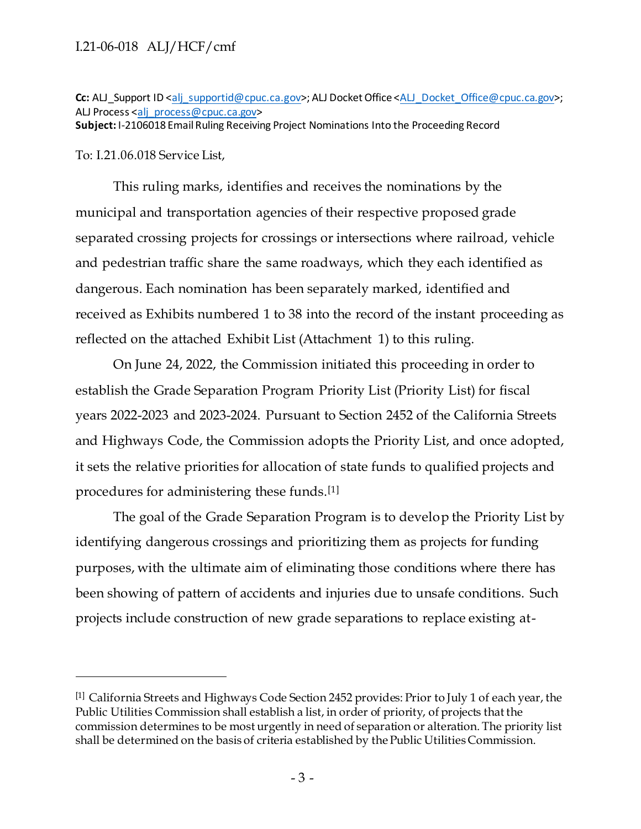Cc: ALJ\_Support ID [<alj\\_supportid@cpuc.ca.gov](mailto:alj_supportid@cpuc.ca.gov)>; ALJ Docket Office [<ALJ\\_Docket\\_Office@cpuc.ca.gov](mailto:ALJ_Docket_Office@cpuc.ca.gov)>; ALJ Process [<alj\\_process@cpuc.ca.gov](mailto:alj_process@cpuc.ca.gov)>

**Subject:** I-2106018 Email Ruling Receiving Project Nominations Into the Proceeding Record

To: I.21.06.018 Service List,

This ruling marks, identifies and receives the nominations by the municipal and transportation agencies of their respective proposed grade separated crossing projects for crossings or intersections where railroad, vehicle and pedestrian traffic share the same roadways, which they each identified as dangerous. Each nomination has been separately marked, identified and received as Exhibits numbered 1 to 38 into the record of the instant proceeding as reflected on the attached Exhibit List (Attachment 1) to this ruling.

On June 24, 2022, the Commission initiated this proceeding in order to establish the Grade Separation Program Priority List (Priority List) for fiscal years 2022-2023 and 2023-2024. Pursuant to Section 2452 of the California Streets and Highways Code, the Commission adopts the Priority List, and once adopted, it sets the relative priorities for allocation of state funds to qualified projects and procedures for administering these funds.[1]

The goal of the Grade Separation Program is to develop the Priority List by identifying dangerous crossings and prioritizing them as projects for funding purposes, with the ultimate aim of eliminating those conditions where there has been showing of pattern of accidents and injuries due to unsafe conditions. Such projects include construction of new grade separations to replace existing at-

<sup>[1]</sup> California Streets and Highways Code Section 2452 provides: Prior to July 1 of each year, the Public Utilities Commission shall establish a list, in order of priority, of projects that the commission determines to be most urgently in need of separation or alteration. The priority list shall be determined on the basis of criteria established by the Public Utilities Commission.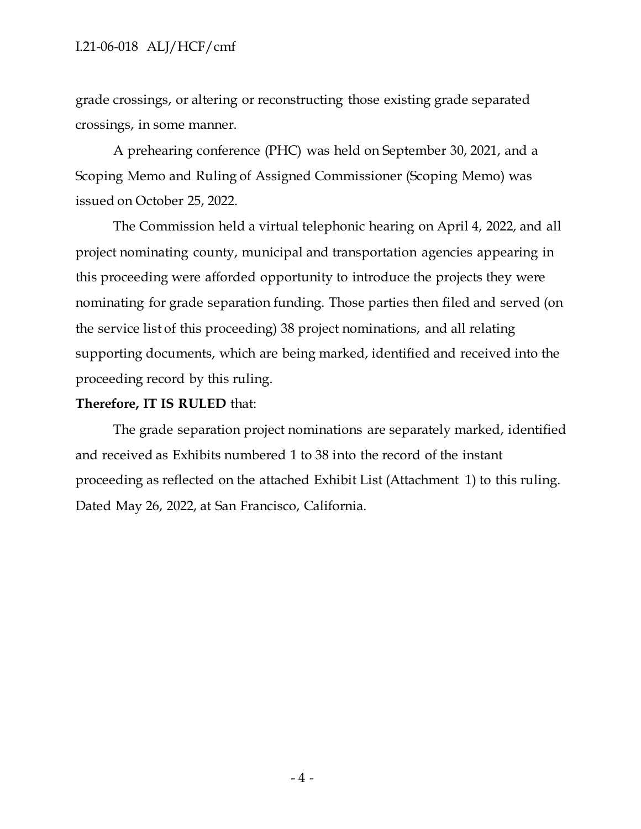grade crossings, or altering or reconstructing those existing grade separated crossings, in some manner.

A prehearing conference (PHC) was held on September 30, 2021, and a Scoping Memo and Ruling of Assigned Commissioner (Scoping Memo) was issued on October 25, 2022.

The Commission held a virtual telephonic hearing on April 4, 2022, and all project nominating county, municipal and transportation agencies appearing in this proceeding were afforded opportunity to introduce the projects they were nominating for grade separation funding. Those parties then filed and served (on the service list of this proceeding) 38 project nominations, and all relating supporting documents, which are being marked, identified and received into the proceeding record by this ruling.

#### **Therefore, IT IS RULED** that:

The grade separation project nominations are separately marked, identified and received as Exhibits numbered 1 to 38 into the record of the instant proceeding as reflected on the attached Exhibit List (Attachment 1) to this ruling. Dated May 26, 2022, at San Francisco, California.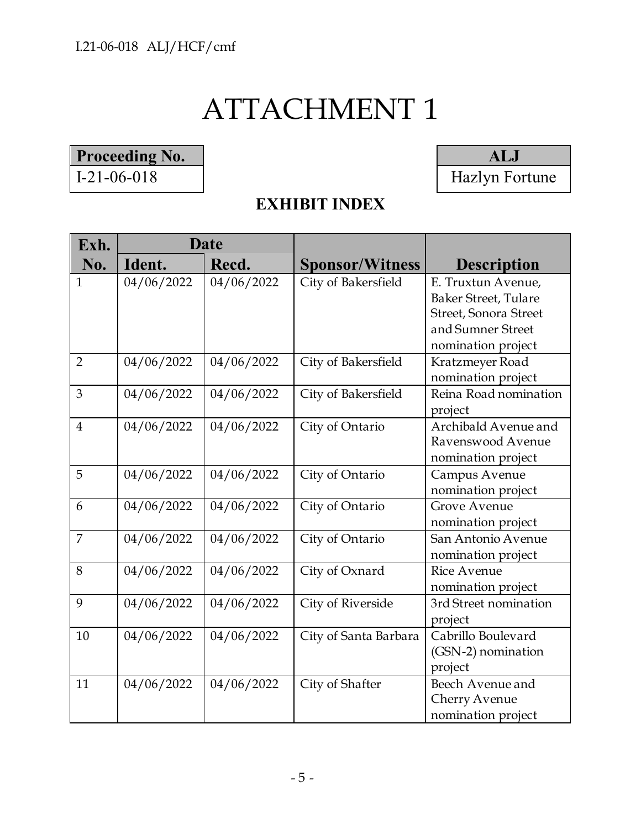# ATTACHMENT 1

# Proceeding No. 1-21-06-018 **ALJ**

Hazlyn Fortune

| Exh.           | <b>Date</b> |            |                        |                             |
|----------------|-------------|------------|------------------------|-----------------------------|
| No.            | Ident.      | Recd.      | <b>Sponsor/Witness</b> | <b>Description</b>          |
| 1              | 04/06/2022  | 04/06/2022 | City of Bakersfield    | E. Truxtun Avenue,          |
|                |             |            |                        | <b>Baker Street, Tulare</b> |
|                |             |            |                        | Street, Sonora Street       |
|                |             |            |                        | and Sumner Street           |
|                |             |            |                        | nomination project          |
| $\overline{2}$ | 04/06/2022  | 04/06/2022 | City of Bakersfield    | Kratzmeyer Road             |
|                |             |            |                        | nomination project          |
| 3              | 04/06/2022  | 04/06/2022 | City of Bakersfield    | Reina Road nomination       |
|                |             |            |                        | project                     |
| $\overline{4}$ | 04/06/2022  | 04/06/2022 | City of Ontario        | Archibald Avenue and        |
|                |             |            |                        | Ravenswood Avenue           |
|                |             |            |                        | nomination project          |
| 5              | 04/06/2022  | 04/06/2022 | City of Ontario        | Campus Avenue               |
|                |             |            |                        | nomination project          |
| 6              | 04/06/2022  | 04/06/2022 | City of Ontario        | <b>Grove Avenue</b>         |
|                |             |            |                        | nomination project          |
| $\overline{7}$ | 04/06/2022  | 04/06/2022 | City of Ontario        | San Antonio Avenue          |
|                |             |            |                        | nomination project          |
| 8              | 04/06/2022  | 04/06/2022 | City of Oxnard         | <b>Rice Avenue</b>          |
|                |             |            |                        | nomination project          |
| 9              | 04/06/2022  | 04/06/2022 | City of Riverside      | 3rd Street nomination       |
|                |             |            |                        | project                     |
| 10             | 04/06/2022  | 04/06/2022 | City of Santa Barbara  | Cabrillo Boulevard          |
|                |             |            |                        | (GSN-2) nomination          |
|                |             |            |                        | project                     |
| 11             | 04/06/2022  | 04/06/2022 | City of Shafter        | Beech Avenue and            |
|                |             |            |                        | Cherry Avenue               |
|                |             |            |                        | nomination project          |

# **EXHIBIT INDEX**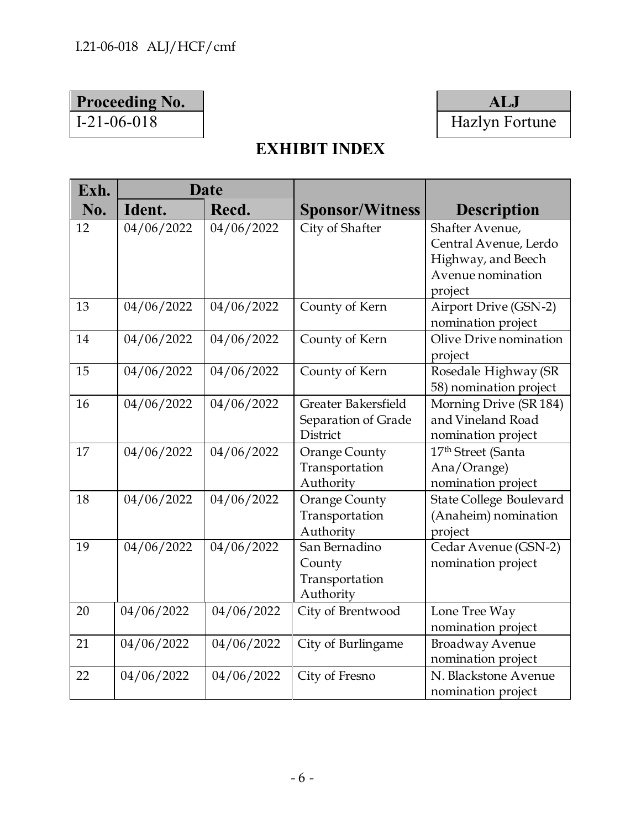## **Proceeding No. ALJ**

# I-21-06-018 | Hazlyn Fortune

# **EXHIBIT INDEX**

| Exh. | Date       |            |                        |                                |
|------|------------|------------|------------------------|--------------------------------|
| No.  | Ident.     | Recd.      | <b>Sponsor/Witness</b> | <b>Description</b>             |
| 12   | 04/06/2022 | 04/06/2022 | City of Shafter        | Shafter Avenue,                |
|      |            |            |                        | Central Avenue, Lerdo          |
|      |            |            |                        | Highway, and Beech             |
|      |            |            |                        | Avenue nomination              |
|      |            |            |                        | project                        |
| 13   | 04/06/2022 | 04/06/2022 | County of Kern         | Airport Drive (GSN-2)          |
|      |            |            |                        | nomination project             |
| 14   | 04/06/2022 | 04/06/2022 | County of Kern         | Olive Drive nomination         |
|      |            |            |                        | project                        |
| 15   | 04/06/2022 | 04/06/2022 | County of Kern         | Rosedale Highway (SR           |
|      |            |            |                        | 58) nomination project         |
| 16   | 04/06/2022 | 04/06/2022 | Greater Bakersfield    | Morning Drive (SR 184)         |
|      |            |            | Separation of Grade    | and Vineland Road              |
|      |            |            | District               | nomination project             |
| 17   | 04/06/2022 | 04/06/2022 | Orange County          | 17 <sup>th</sup> Street (Santa |
|      |            |            | Transportation         | Ana/Orange)                    |
|      |            |            | Authority              | nomination project             |
| 18   | 04/06/2022 | 04/06/2022 | <b>Orange County</b>   | State College Boulevard        |
|      |            |            | Transportation         | (Anaheim) nomination           |
|      |            |            | Authority              | project                        |
| 19   | 04/06/2022 | 04/06/2022 | San Bernadino          | Cedar Avenue (GSN-2)           |
|      |            |            | County                 | nomination project             |
|      |            |            | Transportation         |                                |
|      |            |            | Authority              |                                |
| 20   | 04/06/2022 | 04/06/2022 | City of Brentwood      | Lone Tree Way                  |
|      |            |            |                        | nomination project             |
| 21   | 04/06/2022 | 04/06/2022 | City of Burlingame     | <b>Broadway Avenue</b>         |
|      |            |            |                        | nomination project             |
| 22   | 04/06/2022 | 04/06/2022 | City of Fresno         | N. Blackstone Avenue           |
|      |            |            |                        | nomination project             |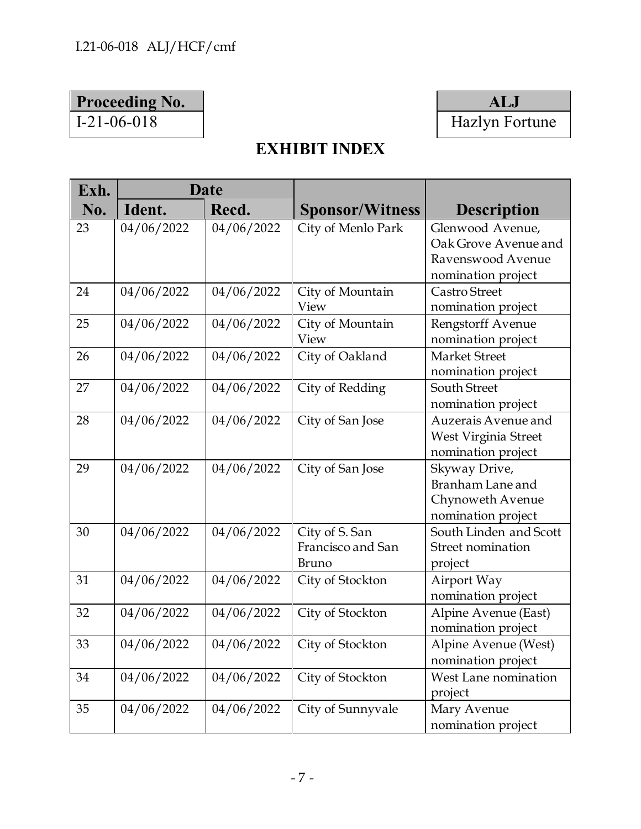## **Proceeding No. ALJ**



# **EXHIBIT INDEX**

| Exh. | <b>Date</b> |            |                                                     |                                                                                     |
|------|-------------|------------|-----------------------------------------------------|-------------------------------------------------------------------------------------|
| No.  | Ident.      | Recd.      | <b>Sponsor/Witness</b>                              | <b>Description</b>                                                                  |
| 23   | 04/06/2022  | 04/06/2022 | City of Menlo Park                                  | Glenwood Avenue,<br>Oak Grove Avenue and<br>Ravenswood Avenue<br>nomination project |
| 24   | 04/06/2022  | 04/06/2022 | City of Mountain<br>View                            | Castro Street<br>nomination project                                                 |
| 25   | 04/06/2022  | 04/06/2022 | City of Mountain<br>View                            | Rengstorff Avenue<br>nomination project                                             |
| 26   | 04/06/2022  | 04/06/2022 | City of Oakland                                     | Market Street<br>nomination project                                                 |
| 27   | 04/06/2022  | 04/06/2022 | City of Redding                                     | <b>South Street</b><br>nomination project                                           |
| 28   | 04/06/2022  | 04/06/2022 | City of San Jose                                    | Auzerais Avenue and<br>West Virginia Street<br>nomination project                   |
| 29   | 04/06/2022  | 04/06/2022 | City of San Jose                                    | Skyway Drive,<br>Branham Lane and<br>Chynoweth Avenue<br>nomination project         |
| 30   | 04/06/2022  | 04/06/2022 | City of S. San<br>Francisco and San<br><b>Bruno</b> | South Linden and Scott<br>Street nomination<br>project                              |
| 31   | 04/06/2022  | 04/06/2022 | City of Stockton                                    | Airport Way<br>nomination project                                                   |
| 32   | 04/06/2022  | 04/06/2022 | City of Stockton                                    | Alpine Avenue (East)<br>nomination project                                          |
| 33   | 04/06/2022  | 04/06/2022 | City of Stockton                                    | Alpine Avenue (West)<br>nomination project                                          |
| 34   | 04/06/2022  | 04/06/2022 | City of Stockton                                    | West Lane nomination<br>project                                                     |
| 35   | 04/06/2022  | 04/06/2022 | City of Sunnyvale                                   | Mary Avenue<br>nomination project                                                   |